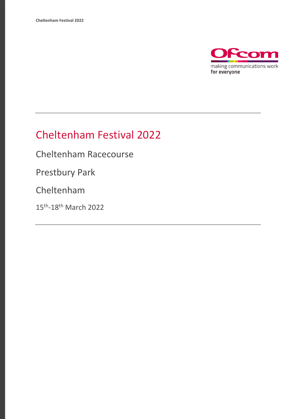

## Cheltenham Festival 2022

Cheltenham Racecourse

Prestbury Park

Cheltenham

15<sup>th</sup>-18<sup>th</sup> March 2022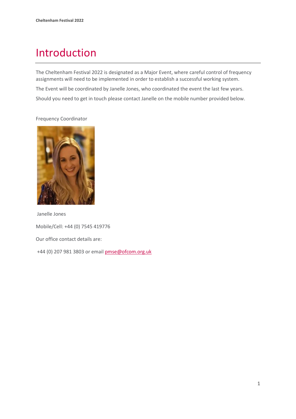# Introduction

The Cheltenham Festival 2022 is designated as a Major Event, where careful control of frequency assignments will need to be implemented in order to establish a successful working system. The Event will be coordinated by Janelle Jones, who coordinated the event the last few years. Should you need to get in touch please contact Janelle on the mobile number provided below.

#### Frequency Coordinator



Janelle Jones

Mobile/Cell: +44 (0) 7545 419776

Our office contact details are:

+44 (0) 207 981 3803 or emai[l pmse@ofcom.org.uk](mailto:pmse@ofcom.org.uk)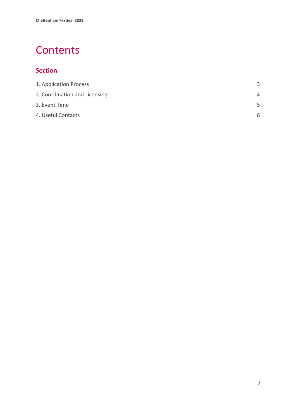## **Contents**

#### **Section**

<span id="page-2-0"></span>

| ₹        |
|----------|
| $\Delta$ |
| .5       |
| 6        |
|          |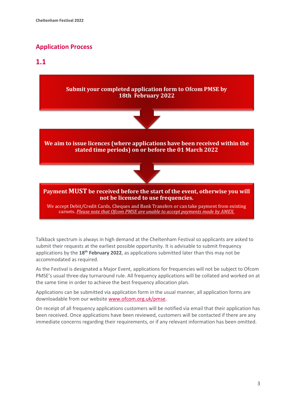#### **Application Process**

#### **1.1**



Talkback spectrum is always in high demand at the Cheltenham Festival so applicants are asked to submit their requests at the earliest possible opportunity. It is advisable to submit frequency applications by the **18 th February 2022**, as applications submitted later than this may not be accommodated as required.

As the Festival is designated a Major Event, applications for frequencies will not be subject to Ofcom PMSE's usual three-day turnaround rule. All frequency applications will be collated and worked on at the same time in order to achieve the best frequency allocation plan.

Applications can be submitted via application form in the usual manner, all application forms are downloadable from our website [www.ofcom.org.uk/pmse.](http://www.ofcom.org.uk/pmse)

On receipt of all frequency applications customers will be notified via email that their application has been received. Once applications have been reviewed, customers will be contacted if there are any immediate concerns regarding their requirements, or if any relevant information has been omitted.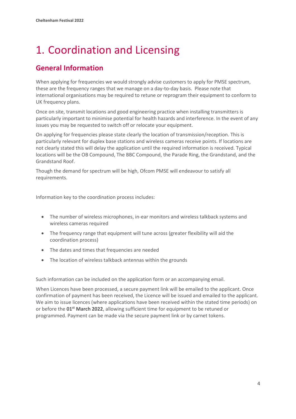## <span id="page-4-0"></span>1. Coordination and Licensing

#### **General Information**

When applying for frequencies we would strongly advise customers to apply for PMSE spectrum, these are the frequency ranges that we manage on a day-to-day basis. Please note that international organisations may be required to retune or reprogram their equipment to conform to UK frequency plans.

Once on site, transmit locations and good engineering practice when installing transmitters is particularly important to minimise potential for health hazards and interference. In the event of any issues you may be requested to switch off or relocate your equipment.

On applying for frequencies please state clearly the location of transmission/reception. This is particularly relevant for duplex base stations and wireless cameras receive points. If locations are not clearly stated this will delay the application until the required information is received. Typical locations will be the OB Compound, The BBC Compound, the Parade Ring, the Grandstand, and the Grandstand Roof.

Though the demand for spectrum will be high, Ofcom PMSE will endeavour to satisfy all requirements.

Information key to the coordination process includes:

- The number of wireless microphones, in-ear monitors and wireless talkback systems and wireless cameras required
- The frequency range that equipment will tune across (greater flexibility will aid the coordination process)
- The dates and times that frequencies are needed
- The location of wireless talkback antennas within the grounds

Such information can be included on the application form or an accompanying email.

When Licences have been processed, a secure payment link will be emailed to the applicant. Once confirmation of payment has been received, the Licence will be issued and emailed to the applicant. We aim to issue licences (where applications have been received within the stated time periods) on or before the **01 st March 2022**, allowing sufficient time for equipment to be retuned or programmed. Payment can be made via the secure payment link or by carnet tokens.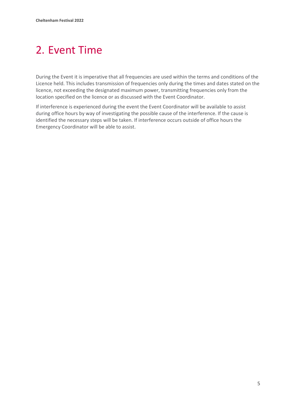## <span id="page-5-0"></span>2. Event Time

During the Event it is imperative that all frequencies are used within the terms and conditions of the Licence held. This includes transmission of frequencies only during the times and dates stated on the licence, not exceeding the designated maximum power, transmitting frequencies only from the location specified on the licence or as discussed with the Event Coordinator.

If interference is experienced during the event the Event Coordinator will be available to assist during office hours by way of investigating the possible cause of the interference. If the cause is identified the necessary steps will be taken. If interference occurs outside of office hours the Emergency Coordinator will be able to assist.